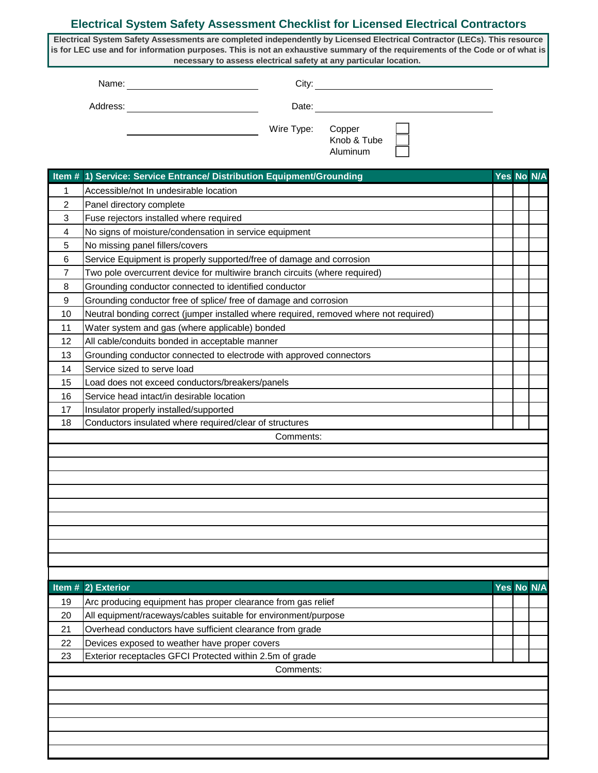## **Electrical System Safety Assessment Checklist for Licensed Electrical Contractors**

**Electrical System Safety Assessments are completed independently by Licensed Electrical Contractor (LECs). This resource is for LEC use and for information purposes. This is not an exhaustive summary of the requirements of the Code or of what is necessary to assess electrical safety at any particular location.** 

Name: City:

Address: Date: Date:

| Wire Type: | Copper                                                                                                                                                                                                                                                                                                                             |
|------------|------------------------------------------------------------------------------------------------------------------------------------------------------------------------------------------------------------------------------------------------------------------------------------------------------------------------------------|
|            | $\mathbf{1}$ $\mathbf{1}$ $\mathbf{1}$ $\mathbf{1}$ $\mathbf{1}$ $\mathbf{1}$ $\mathbf{1}$ $\mathbf{1}$ $\mathbf{1}$ $\mathbf{1}$ $\mathbf{1}$ $\mathbf{1}$ $\mathbf{1}$ $\mathbf{1}$ $\mathbf{1}$ $\mathbf{1}$ $\mathbf{1}$ $\mathbf{1}$ $\mathbf{1}$ $\mathbf{1}$ $\mathbf{1}$ $\mathbf{1}$ $\mathbf{1}$ $\mathbf{1}$ $\mathbf{$ |

| Copper      |  |
|-------------|--|
| Knob & Tube |  |
| Aluminum    |  |

|                | Item # 1) Service: Service Entrance/ Distribution Equipment/Grounding                 |  |            | Yes No N/A |  |  |
|----------------|---------------------------------------------------------------------------------------|--|------------|------------|--|--|
| 1              | Accessible/not In undesirable location                                                |  |            |            |  |  |
| 2              | Panel directory complete                                                              |  |            |            |  |  |
| 3              | Fuse rejectors installed where required                                               |  |            |            |  |  |
| 4              | No signs of moisture/condensation in service equipment                                |  |            |            |  |  |
| 5              | No missing panel fillers/covers                                                       |  |            |            |  |  |
| 6              | Service Equipment is properly supported/free of damage and corrosion                  |  |            |            |  |  |
| $\overline{7}$ | Two pole overcurrent device for multiwire branch circuits (where required)            |  |            |            |  |  |
| 8              | Grounding conductor connected to identified conductor                                 |  |            |            |  |  |
| 9              | Grounding conductor free of splice/ free of damage and corrosion                      |  |            |            |  |  |
| 10             | Neutral bonding correct (jumper installed where required, removed where not required) |  |            |            |  |  |
| 11             | Water system and gas (where applicable) bonded                                        |  |            |            |  |  |
| 12             | All cable/conduits bonded in acceptable manner                                        |  |            |            |  |  |
| 13             | Grounding conductor connected to electrode with approved connectors                   |  |            |            |  |  |
| 14             | Service sized to serve load                                                           |  |            |            |  |  |
| 15             | Load does not exceed conductors/breakers/panels                                       |  |            |            |  |  |
| 16             | Service head intact/in desirable location                                             |  |            |            |  |  |
| 17             | Insulator properly installed/supported                                                |  |            |            |  |  |
| 18             | Conductors insulated where required/clear of structures                               |  |            |            |  |  |
|                | Comments:                                                                             |  |            |            |  |  |
|                |                                                                                       |  |            |            |  |  |
|                |                                                                                       |  |            |            |  |  |
|                |                                                                                       |  |            |            |  |  |
|                |                                                                                       |  |            |            |  |  |
|                |                                                                                       |  |            |            |  |  |
|                |                                                                                       |  |            |            |  |  |
|                |                                                                                       |  |            |            |  |  |
|                |                                                                                       |  |            |            |  |  |
|                |                                                                                       |  |            |            |  |  |
|                |                                                                                       |  |            |            |  |  |
|                | Item # 2) Exterior                                                                    |  | Yes No N/A |            |  |  |
| 19             | Arc producing equipment has proper clearance from gas relief                          |  |            |            |  |  |
| 20             | All equipment/raceways/cables suitable for environment/purpose                        |  |            |            |  |  |
| 21             | Overhead conductors have sufficient clearance from grade                              |  |            |            |  |  |
| 22             | Devices exposed to weather have proper covers                                         |  |            |            |  |  |
| 23             | Exterior receptacles GFCI Protected within 2.5m of grade                              |  |            |            |  |  |
|                | Comments:                                                                             |  |            |            |  |  |
|                |                                                                                       |  |            |            |  |  |
|                |                                                                                       |  |            |            |  |  |
|                |                                                                                       |  |            |            |  |  |
|                |                                                                                       |  |            |            |  |  |
|                |                                                                                       |  |            |            |  |  |